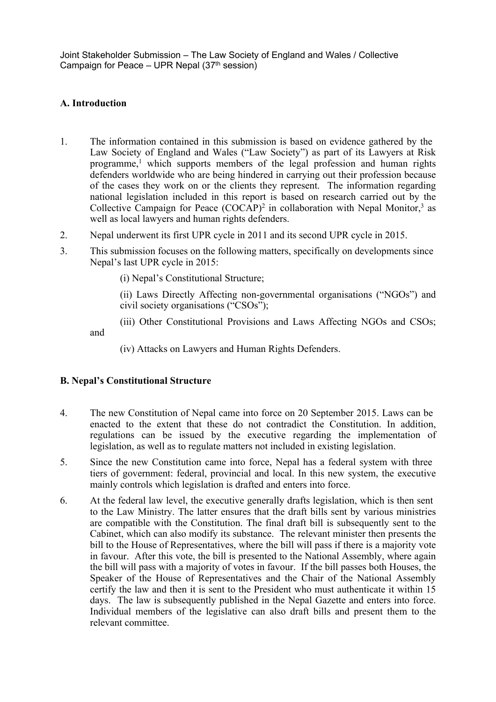## **A. Introduction**

- 1. The information contained in this submission is based on evidence gathered by the Law Society of England and Wales ("Law Society") as par<sup>t</sup> of its Lawyers at Risk programme, <sup>1</sup> which supports members of the legal profession and human rights defenders worldwide who are being hindered in carrying out their profession because of the cases they work on or the clients they represent. The information regarding national legislation included in this repor<sup>t</sup> is based on research carried out by the Collective Campaign for Peace (COCAP)<sup>2</sup> in collaboration with Nepal Monitor,<sup>3</sup> as well as local lawyers and human rights defenders.
- 2. Nepal underwent its first UPR cycle in 2011 and its second UPR cycle in 2015.
- 3. This submission focuses on the following matters, specifically on developments since Nepal'<sup>s</sup> last UPR cycle in 2015:

(i) Nepal'<sup>s</sup> Constitutional Structure;

(ii) Laws Directly Affecting non-governmental organisations ("NGOs") and civil society organisations ("CSOs");

(iii) Other Constitutional Provisions and Laws Affecting NGOs and CSOs;

and

(iv) Attacks on Lawyers and Human Rights Defenders.

# **B. Nepal'<sup>s</sup> Constitutional Structure**

- 4. The new Constitution of Nepal came into force on 20 September 2015. Laws can be enacted to the extent that these do not contradict the Constitution. In addition, regulations can be issued by the executive regarding the implementation of legislation, as well as to regulate matters not included in existing legislation.
- 5. Since the new Constitution came into force, Nepal has <sup>a</sup> federal system with three tiers of government: federal, provincial and local. In this new system, the executive mainly controls which legislation is drafted and enters into force.
- 6. At the federal law level, the executive generally drafts legislation, which is then sent to the Law Ministry. The latter ensures that the draft bills sent by various ministries are compatible with the Constitution. The final draft bill is subsequently sent to the Cabinet, which can also modify its substance. The relevant minister then presents the bill to the House of Representatives, where the bill will pass if there is <sup>a</sup> majority vote in favour. After this vote, the bill is presented to the National Assembly, where again the bill will pass with <sup>a</sup> majority of votes in favour. If the bill passes both Houses, the Speaker of the House of Representatives and the Chair of the National Assembly certify the law and then it is sent to the President who must authenticate it within 15 days. The law is subsequently published in the Nepal Gazette and enters into force. Individual members of the legislative can also draft bills and presen<sup>t</sup> them to the relevant committee.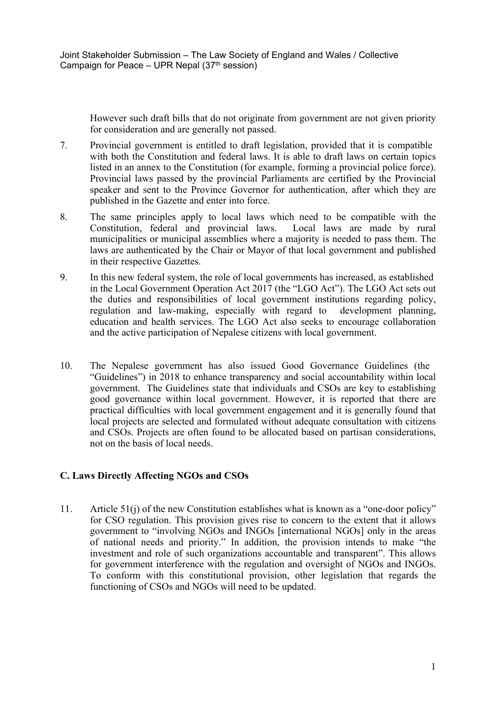However such draft bills that do not originate from governmen<sup>t</sup> are not given priority for consideration and are generally not passed.

- 7. Provincial governmen<sup>t</sup> is entitled to draft legislation, provided that it is compatible with both the Constitution and federal laws. It is able to draft laws on certain topics listed in an annex to the Constitution (for example, forming <sup>a</sup> provincial police force). Provincial laws passed by the provincial Parliaments are certified by the Provincial speaker and sent to the Province Governor for authentication, after which they are published in the Gazette and enter into force.
- 8. The same principles apply to local laws which need to be compatible with the Constitution, federal and provincial laws. Local laws are made by rural municipalities or municipal assemblies where <sup>a</sup> majority is needed to pass them. The laws are authenticated by the Chair or Mayor of that local governmen<sup>t</sup> and published in their respective Gazettes.
- 9. In this new federal system, the role of local governments has increased, as established in the Local Government Operation Act 2017 (the "LGO Act"). The LGO Act sets out the duties and responsibilities of local governmen<sup>t</sup> institutions regarding policy, regulation and law-making, especially with regard to development planning, education and health services. The LGO Act also seeks to encourage collaboration and the active participation of Nepalese citizens with local government.
- 10. The Nepalese governmen<sup>t</sup> has also issued Good Governance Guidelines (the "Guidelines") in 2018 to enhance transparency and social accountability within local government. The Guidelines state that individuals and CSOs are key to establishing good governance within local government. However, it is reported that there are practical difficulties with local governmen<sup>t</sup> engagemen<sup>t</sup> and it is generally found that local projects are selected and formulated without adequate consultation with citizens and CSOs. Projects are often found to be allocated based on partisan considerations, not on the basis of local needs.

### **C. Laws Directly Affecting NGOs and CSOs**

11. Article 51(j) of the new Constitution establishes what is known as <sup>a</sup> "one-door policy" for CSO regulation. This provision gives rise to concern to the extent that it allows governmen<sup>t</sup> to "involving NGOs and INGOs [international NGOs] only in the areas of national needs and priority." In addition, the provision intends to make "the investment and role of such organizations accountable and transparent". This allows for governmen<sup>t</sup> interference with the regulation and oversight of NGOs and INGOs. To conform with this constitutional provision, other legislation that regards the functioning of CSOs and NGOs will need to be updated.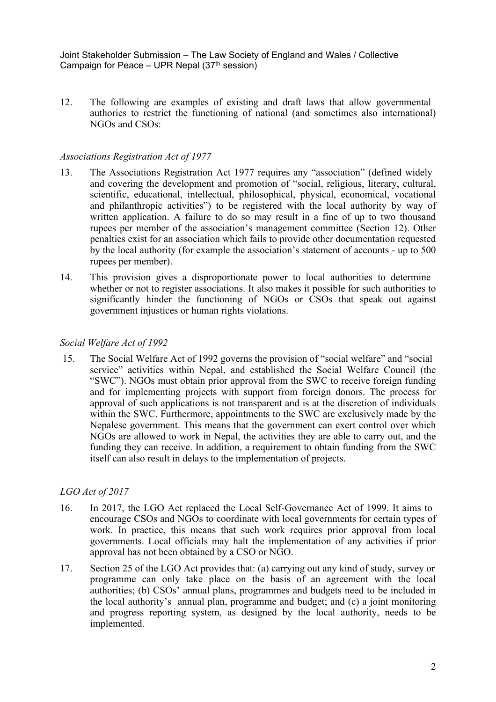12. The following are examples of existing and draft laws that allow governmental authories to restrict the functioning of national (and sometimes also international) NGOs and CSOs:

#### *Associations Registration Act of 1977*

- 13. The Associations Registration Act 1977 requires any "association" (defined widely and covering the development and promotion of "social, religious, literary, cultural, scientific, educational, intellectual, philosophical, physical, economical, vocational and philanthropic activities") to be registered with the local authority by way of written application. A failure to do so may result in <sup>a</sup> fine of up to two thousand rupees per member of the association'<sup>s</sup> managemen<sup>t</sup> committee (Section 12). Other penalties exist for an association which fails to provide other documentation requested by the local authority (for example the association'<sup>s</sup> statement of accounts - up to 500 rupees per member).
- 14. This provision gives <sup>a</sup> disproportionate power to local authorities to determine whether or not to register associations. It also makes it possible for such authorities to significantly hinder the functioning of NGOs or CSOs that speak out against governmen<sup>t</sup> injustices or human rights violations.

#### *Social Welfare Act of 1992*

15. The Social Welfare Act of 1992 governs the provision of "social welfare" and "social service" activities within Nepal, and established the Social Welfare Council (the "SWC"). NGOs must obtain prior approval from the SWC to receive foreign funding and for implementing projects with suppor<sup>t</sup> from foreign donors. The process for approval of such applications is not transparent and is at the discretion of individuals within the SWC. Furthermore, appointments to the SWC are exclusively made by the Nepalese government. This means that the governmen<sup>t</sup> can exert control over which NGOs are allowed to work in Nepal, the activities they are able to carry out, and the funding they can receive. In addition, <sup>a</sup> requirement to obtain funding from the SWC itself can also result in delays to the implementation of projects.

### *LGO Act of 2017*

- 16. In 2017, the LGO Act replaced the Local Self-Governance Act of 1999. It aims to encourage CSOs and NGOs to coordinate with local governments for certain types of work. In practice, this means that such work requires prior approval from local governments. Local officials may halt the implementation of any activities if prior approval has not been obtained by <sup>a</sup> CSO or NGO.
- 17. Section 25 of the LGO Act provides that: (a) carrying out any kind of study, survey or programme can only take place on the basis of an agreemen<sup>t</sup> with the local authorities; (b) CSOs' annual plans, programmes and budgets need to be included in the local authority'<sup>s</sup> annual plan, programme and budget; and (c) <sup>a</sup> joint monitoring and progress reporting system, as designed by the local authority, needs to be implemented.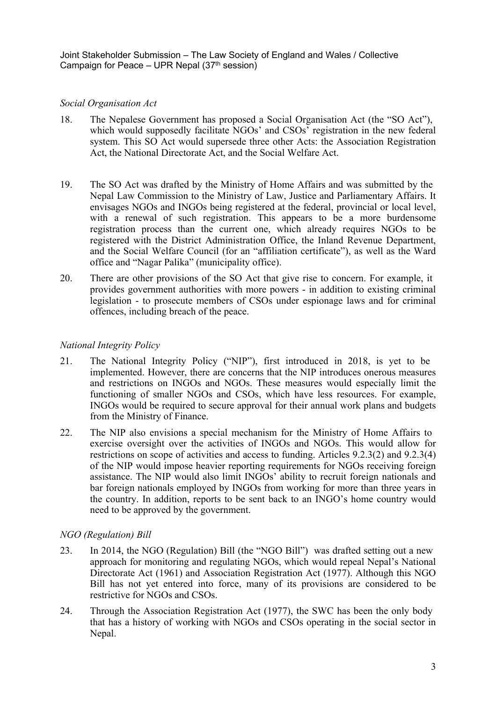### *Social Organisation Act*

- 18. The Nepalese Government has proposed <sup>a</sup> Social Organisation Act (the "SO Act"), which would supposedly facilitate NGOs' and CSOs' registration in the new federal system. This SO Act would supersede three other Acts: the Association Registration Act, the National Directorate Act, and the Social Welfare Act.
- 19. The SO Act was drafted by the Ministry of Home Affairs and was submitted by the Nepal Law Commission to the Ministry of Law, Justice and Parliamentary Affairs. It envisages NGOs and INGOs being registered at the federal, provincial or local level, with <sup>a</sup> renewal of such registration. This appears to be <sup>a</sup> more burdensome registration process than the current one, which already requires NGOs to be registered with the District Administration Office, the Inland Revenue Department, and the Social Welfare Council (for an "affiliation certificate"), as well as the Ward office and "Nagar Palika" (municipality office).
- 20. There are other provisions of the SO Act that give rise to concern. For example, it provides governmen<sup>t</sup> authorities with more powers - in addition to existing criminal legislation - to prosecute members of CSOs under espionage laws and for criminal offences, including breach of the peace.

### *National Integrity Policy*

- 21. The National Integrity Policy ("NIP"), first introduced in 2018, is ye<sup>t</sup> to be implemented. However, there are concerns that the NIP introduces onerous measures and restrictions on INGOs and NGOs. These measures would especially limit the functioning of smaller NGOs and CSOs, which have less resources. For example, INGOs would be required to secure approval for their annual work plans and budgets from the Ministry of Finance.
- 22. The NIP also envisions <sup>a</sup> special mechanism for the Ministry of Home Affairs to exercise oversight over the activities of INGOs and NGOs. This would allow for restrictions on scope of activities and access to funding. Articles 9.2.3(2) and 9.2.3(4) of the NIP would impose heavier reporting requirements for NGOs receiving foreign assistance. The NIP would also limit INGOs' ability to recruit foreign nationals and bar foreign nationals employed by INGOs from working for more than three years in the country. In addition, reports to be sent back to an INGO'<sup>s</sup> home country would need to be approved by the government.

### *NGO (Regulation) Bill*

- 23. In 2014, the NGO (Regulation) Bill (the "NGO Bill") was drafted setting out <sup>a</sup> new approach for monitoring and regulating NGOs, which would repeal Nepal'<sup>s</sup> National Directorate Act (1961) and Association Registration Act (1977). Although this NGO Bill has not ye<sup>t</sup> entered into force, many of its provisions are considered to be restrictive for NGOs and CSOs.
- 24. Through the Association Registration Act (1977), the SWC has been the only body that has <sup>a</sup> history of working with NGOs and CSOs operating in the social sector in Nepal.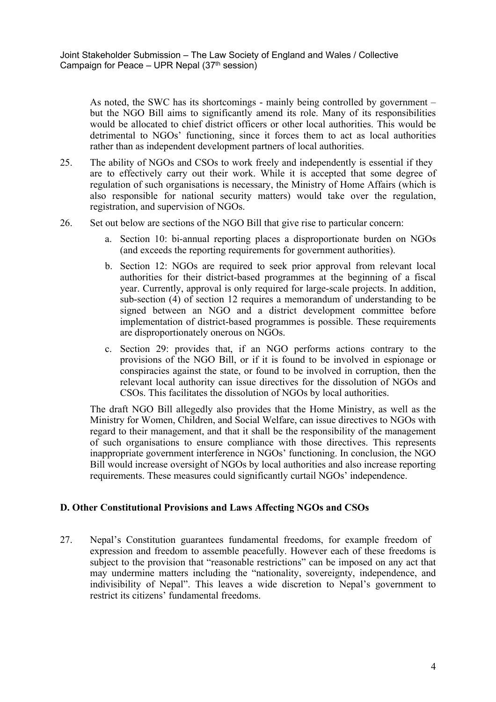As noted, the SWC has its shortcomings - mainly being controlled by governmen<sup>t</sup> – but the NGO Bill aims to significantly amend its role. Many of its responsibilities would be allocated to chief district officers or other local authorities. This would be detrimental to NGOs' functioning, since it forces them to act as local authorities rather than as independent development partners of local authorities.

- 25. The ability of NGOs and CSOs to work freely and independently is essential if they are to effectively carry out their work. While it is accepted that some degree of regulation of such organisations is necessary, the Ministry of Home Affairs (which is also responsible for national security matters) would take over the regulation, registration, and supervision of NGOs.
- 26. Set out below are sections of the NGO Bill that give rise to particular concern:
	- a. Section 10: bi-annual reporting places <sup>a</sup> disproportionate burden on NGOs (and exceeds the reporting requirements for governmen<sup>t</sup> authorities).
	- b. Section 12: NGOs are required to seek prior approval from relevant local authorities for their district-based programmes at the beginning of <sup>a</sup> fiscal year. Currently, approval is only required for large-scale projects. In addition, sub-section (4) of section 12 requires <sup>a</sup> memorandum of understanding to be signed between an NGO and <sup>a</sup> district development committee before implementation of district-based programmes is possible. These requirements are disproportionately onerous on NGOs.
	- c. Section 29: provides that, if an NGO performs actions contrary to the provisions of the NGO Bill, or if it is found to be involved in espionage or conspiracies against the state, or found to be involved in corruption, then the relevant local authority can issue directives for the dissolution of NGOs and CSOs. This facilitates the dissolution of NGOs by local authorities.

The draft NGO Bill allegedly also provides that the Home Ministry, as well as the Ministry for Women, Children, and Social Welfare, can issue directives to NGOs with regard to their management, and that it shall be the responsibility of the managemen<sup>t</sup> of such organisations to ensure compliance with those directives. This represents inappropriate governmen<sup>t</sup> interference in NGOs' functioning. In conclusion, the NGO Bill would increase oversight of NGOs by local authorities and also increase reporting requirements. These measures could significantly curtail NGOs' independence.

### **D. Other Constitutional Provisions and Laws Affecting NGOs and CSOs**

27. Nepal'<sup>s</sup> Constitution guarantees fundamental freedoms, for example freedom of expression and freedom to assemble peacefully. However each of these freedoms is subject to the provision that "reasonable restrictions" can be imposed on any act that may undermine matters including the "nationality, sovereignty, independence, and indivisibility of Nepal". This leaves <sup>a</sup> wide discretion to Nepal'<sup>s</sup> governmen<sup>t</sup> to restrict its citizens' fundamental freedoms.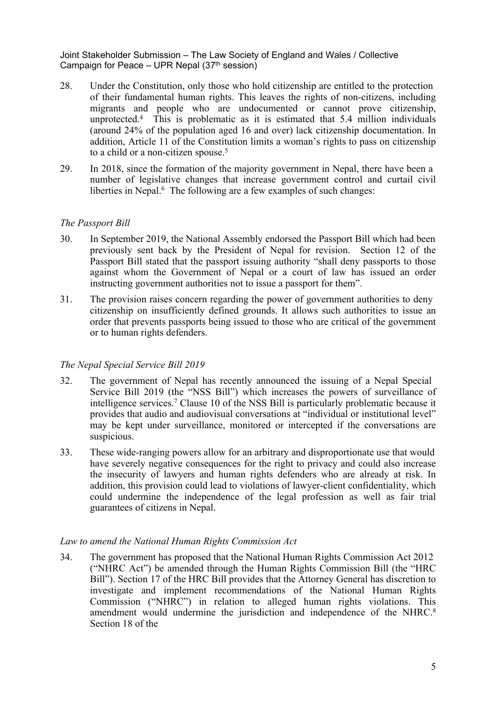- 28. Under the Constitution, only those who hold citizenship are entitled to the protection of their fundamental human rights. This leaves the rights of non-citizens, including migrants and people who are undocumented or cannot prove citizenship, unprotected. 4 This is problematic as it is estimated that 5.4 million individuals (around 24% of the population aged 16 and over) lack citizenship documentation. In addition, Article 11 of the Constitution limits <sup>a</sup> woman'<sup>s</sup> rights to pass on citizenship to <sup>a</sup> child or <sup>a</sup> non-citizen spouse. 5
- 29. In 2018, since the formation of the majority governmen<sup>t</sup> in Nepal, there have been <sup>a</sup> number of legislative changes that increase governmen<sup>t</sup> control and curtail civil liberties in Nepal.<sup>6</sup> The following are a few examples of such changes:

### *The Passport Bill*

- 30. In September 2019, the National Assembly endorsed the Passport Bill which had been previously sent back by the President of Nepal for revision. Section 12 of the Passport Bill stated that the passpor<sup>t</sup> issuing authority "shall deny passports to those against whom the Government of Nepal or <sup>a</sup> court of law has issued an order instructing governmen<sup>t</sup> authorities not to issue <sup>a</sup> passpor<sup>t</sup> for them".
- 31. The provision raises concern regarding the power of governmen<sup>t</sup> authorities to deny citizenship on insufficiently defined grounds. It allows such authorities to issue an order that prevents passports being issued to those who are critical of the governmen<sup>t</sup> or to human rights defenders.

### *The Nepal Special Service Bill 2019*

- 32. The governmen<sup>t</sup> of Nepal has recently announced the issuing of <sup>a</sup> Nepal Special Service Bill 2019 (the "NSS Bill") which increases the powers of surveillance of intelligence services. <sup>7</sup> Clause 10 of the NSS Bill is particularly problematic because it provides that audio and audiovisual conversations at "individual or institutional level" may be kept under surveillance, monitored or intercepted if the conversations are suspicious.
- 33. These wide-ranging powers allow for an arbitrary and disproportionate use that would have severely negative consequences for the right to privacy and could also increase the insecurity of lawyers and human rights defenders who are already at risk. In addition, this provision could lead to violations of lawyer-client confidentiality, which could undermine the independence of the legal profession as well as fair trial guarantees of citizens in Nepal.

#### *Law to amend the National Human Rights Commission Act*

34. The governmen<sup>t</sup> has proposed that the National Human Rights Commission Act 2012 ("NHRC Act") be amended through the Human Rights Commission Bill (the "HRC Bill"). Section 17 of the HRC Bill provides that the Attorney General has discretion to investigate and implement recommendations of the National Human Rights Commission ("NHRC") in relation to alleged human rights violations. This amendment would undermine the jurisdiction and independence of the NHRC.<sup>8</sup> Section 18 of the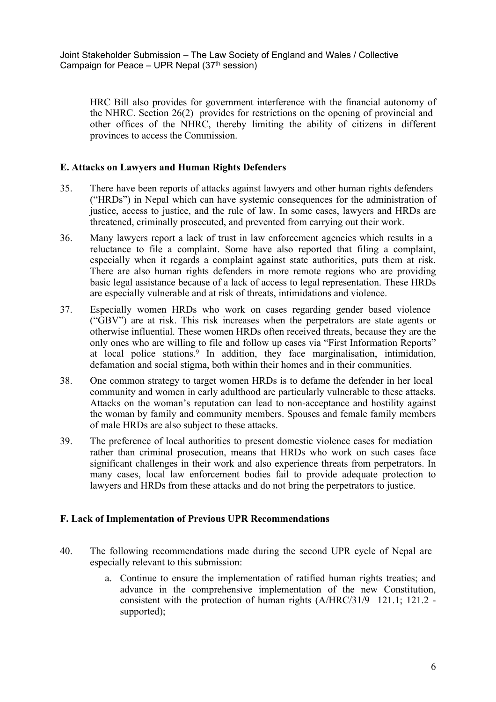HRC Bill also provides for governmen<sup>t</sup> interference with the financial autonomy of the NHRC. Section 26(2) provides for restrictions on the opening of provincial and other offices of the NHRC, thereby limiting the ability of citizens in different provinces to access the Commission.

## **E. Attacks on Lawyers and Human Rights Defenders**

- 35. There have been reports of attacks against lawyers and other human rights defenders ("HRDs") in Nepal which can have systemic consequences for the administration of justice, access to justice, and the rule of law. In some cases, lawyers and HRDs are threatened, criminally prosecuted, and prevented from carrying out their work.
- 36. Many lawyers repor<sup>t</sup> <sup>a</sup> lack of trust in law enforcement agencies which results in <sup>a</sup> reluctance to file <sup>a</sup> complaint. Some have also reported that filing <sup>a</sup> complaint, especially when it regards <sup>a</sup> complaint against state authorities, puts them at risk. There are also human rights defenders in more remote regions who are providing basic legal assistance because of <sup>a</sup> lack of access to legal representation. These HRDs are especially vulnerable and at risk of threats, intimidations and violence.
- 37. Especially women HRDs who work on cases regarding gender based violence ("GBV") are at risk. This risk increases when the perpetrators are state agents or otherwise influential. These women HRDs often received threats, because they are the only ones who are willing to file and follow up cases via "First Information Reports" at local police stations. 9 In addition, they face marginalisation, intimidation, defamation and social stigma, both within their homes and in their communities.
- 38. One common strategy to target women HRDs is to defame the defender in her local community and women in early adulthood are particularly vulnerable to these attacks. Attacks on the woman'<sup>s</sup> reputation can lead to non-acceptance and hostility against the woman by family and community members. Spouses and female family members of male HRDs are also subject to these attacks.
- 39. The preference of local authorities to presen<sup>t</sup> domestic violence cases for mediation rather than criminal prosecution, means that HRDs who work on such cases face significant challenges in their work and also experience threats from perpetrators. In many cases, local law enforcement bodies fail to provide adequate protection to lawyers and HRDs from these attacks and do not bring the perpetrators to justice.

## **F. Lack of Implementation of Previous UPR Recommendations**

- 40. The following recommendations made during the second UPR cycle of Nepal are especially relevant to this submission:
	- a. Continue to ensure the implementation of ratified human rights treaties; and advance in the comprehensive implementation of the new Constitution, consistent with the protection of human rights (A/HRC/31/9 121.1; 121.2 supported);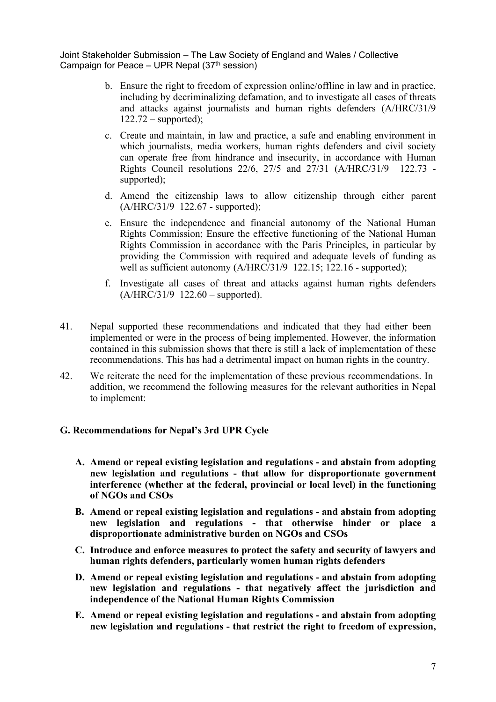- b. Ensure the right to freedom of expression online/offline in law and in practice, including by decriminalizing defamation, and to investigate all cases of threats and attacks against journalists and human rights defenders (A/HRC/31/9  $122.72$  – supported);
- c. Create and maintain, in law and practice, <sup>a</sup> safe and enabling environment in which journalists, media workers, human rights defenders and civil society can operate free from hindrance and insecurity, in accordance with Human Rights Council resolutions 22/6, 27/5 and 27/31 (A/HRC/31/9 122.73 supported);
- d. Amend the citizenship laws to allow citizenship through either paren<sup>t</sup> (A/HRC/31/9 122.67 - supported);
- e. Ensure the independence and financial autonomy of the National Human Rights Commission; Ensure the effective functioning of the National Human Rights Commission in accordance with the Paris Principles, in particular by providing the Commission with required and adequate levels of funding as well as sufficient autonomy (A/HRC/31/9 122.15; 122.16 - supported);
- f. Investigate all cases of threat and attacks against human rights defenders  $(A/HRC/31/9 122.60 - supported).$
- 41. Nepal supported these recommendations and indicated that they had either been implemented or were in the process of being implemented. However, the information contained in this submission shows that there is still <sup>a</sup> lack of implementation of these recommendations. This has had <sup>a</sup> detrimental impact on human rights in the country.
- 42. We reiterate the need for the implementation of these previous recommendations. In addition, we recommend the following measures for the relevant authorities in Nepal to implement:

### **G. Recommendations for Nepal'<sup>s</sup> 3rd UPR Cycle**

- **A. Amend or repeal existing legislation and regulations - and abstain from adopting new legislation and regulations - that allow for disproportionate government interference (whether at the federal, provincial or local level) in the functioning of NGOs and CSOs**
- **B. Amend or repeal existing legislation and regulations - and abstain from adopting new legislation and regulations - that otherwise hinder or place <sup>a</sup> disproportionate administrative burden on NGOs and CSOs**
- **C. Introduce and enforce measures to protect the safety and security of lawyers and human rights defenders, particularly women human rights defenders**
- **D. Amend or repeal existing legislation and regulations - and abstain from adopting new legislation and regulations - that negatively affect the jurisdiction and independence of the National Human Rights Commission**
- **E. Amend or repeal existing legislation and regulations - and abstain from adopting new legislation and regulations - that restrict the right to freedom of expression,**